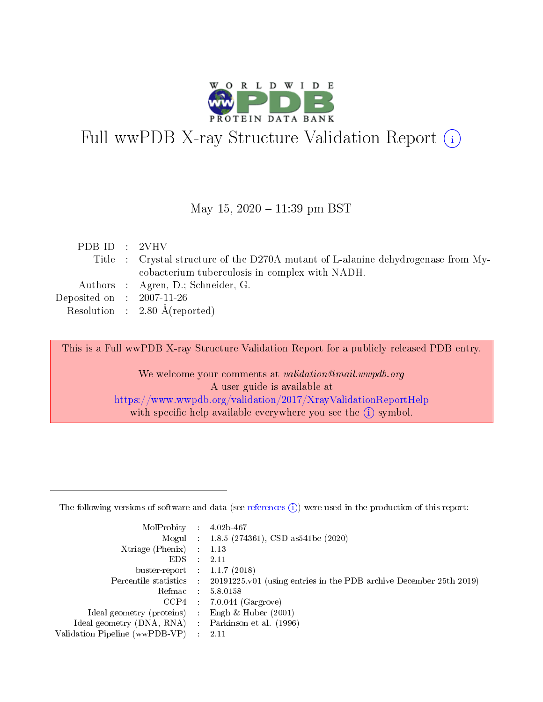

# Full wwPDB X-ray Structure Validation Report (i)

May 15,  $2020 - 11:39$  pm BST

| PDB ID : 2VHV               |                                                                                   |
|-----------------------------|-----------------------------------------------------------------------------------|
|                             | Title : Crystal structure of the D270A mutant of L-alanine dehydrogenase from My- |
|                             | cobacterium tuberculosis in complex with NADH.                                    |
|                             | Authors : Agren, D.; Schneider, G.                                                |
| Deposited on : $2007-11-26$ |                                                                                   |
|                             | Resolution : $2.80 \text{ Å}$ (reported)                                          |
|                             |                                                                                   |

This is a Full wwPDB X-ray Structure Validation Report for a publicly released PDB entry.

We welcome your comments at validation@mail.wwpdb.org A user guide is available at <https://www.wwpdb.org/validation/2017/XrayValidationReportHelp> with specific help available everywhere you see the  $(i)$  symbol.

The following versions of software and data (see [references](https://www.wwpdb.org/validation/2017/XrayValidationReportHelp#references)  $(1)$ ) were used in the production of this report:

| MolProbity                     | $\mathcal{L}_{\rm{max}}$ | $4.02b - 467$                                                                |
|--------------------------------|--------------------------|------------------------------------------------------------------------------|
|                                |                          | Mogul : $1.8.5$ (274361), CSD as 541be (2020)                                |
| $X$ triage (Phenix) :          |                          | 1.13                                                                         |
| EDS.                           |                          | 2.11                                                                         |
| buster-report : $1.1.7$ (2018) |                          |                                                                              |
| Percentile statistics :        |                          | $20191225 \text{ v}01$ (using entries in the PDB archive December 25th 2019) |
| Refmac                         |                          | 5.8.0158                                                                     |
| $CCP4$ :                       |                          | $7.0.044$ (Gargrove)                                                         |
| Ideal geometry (proteins) :    |                          | Engh $\&$ Huber (2001)                                                       |
| Ideal geometry (DNA, RNA) :    |                          | Parkinson et al. (1996)                                                      |
| Validation Pipeline (wwPDB-VP) | $\mathcal{L}$            | -2.11                                                                        |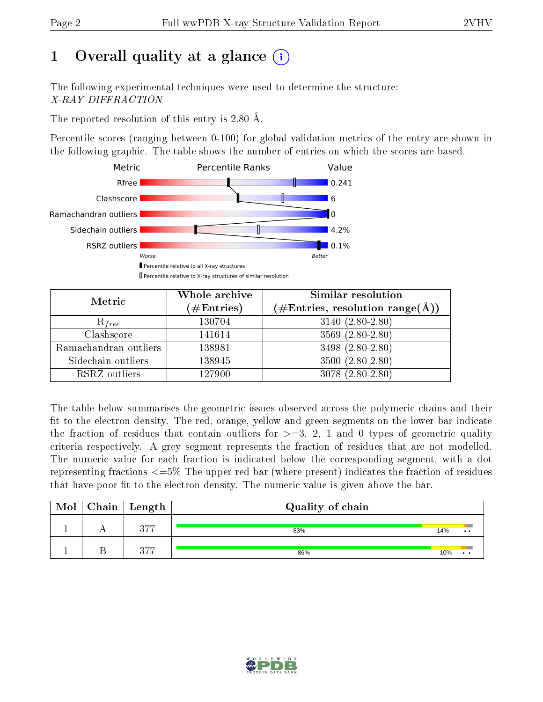# 1 [O](https://www.wwpdb.org/validation/2017/XrayValidationReportHelp#overall_quality)verall quality at a glance  $(i)$

The following experimental techniques were used to determine the structure: X-RAY DIFFRACTION

The reported resolution of this entry is 2.80 Å.

Percentile scores (ranging between 0-100) for global validation metrics of the entry are shown in the following graphic. The table shows the number of entries on which the scores are based.



| Metric                | Whole archive<br>$(\#\text{Entries})$ | Similar resolution<br>$(\#\text{Entries},\,\text{resolution}\,\,\text{range}(\textup{\AA}))$ |
|-----------------------|---------------------------------------|----------------------------------------------------------------------------------------------|
| $R_{free}$            | 130704                                | $3140(2.80-2.80)$                                                                            |
| Clashscore            | 141614                                | $3569(2.80-2.80)$                                                                            |
| Ramachandran outliers | 138981                                | $3498(2.80-2.80)$                                                                            |
| Sidechain outliers    | 138945                                | $3500(2.80-2.80)$                                                                            |
| RSRZ outliers         | 127900                                | $3078(2.80-2.80)$                                                                            |

The table below summarises the geometric issues observed across the polymeric chains and their fit to the electron density. The red, orange, yellow and green segments on the lower bar indicate the fraction of residues that contain outliers for  $>=3, 2, 1$  and 0 types of geometric quality criteria respectively. A grey segment represents the fraction of residues that are not modelled. The numeric value for each fraction is indicated below the corresponding segment, with a dot representing fractions  $\epsilon=5\%$  The upper red bar (where present) indicates the fraction of residues that have poor fit to the electron density. The numeric value is given above the bar.

| Mol | ${\rm Chain \mid Length}$ | Quality of chain |     |              |
|-----|---------------------------|------------------|-----|--------------|
|     | ヘワワ                       | 83%              | 14% | $\cdot\cdot$ |
|     | $\Omega$                  | 86%              | 10% |              |

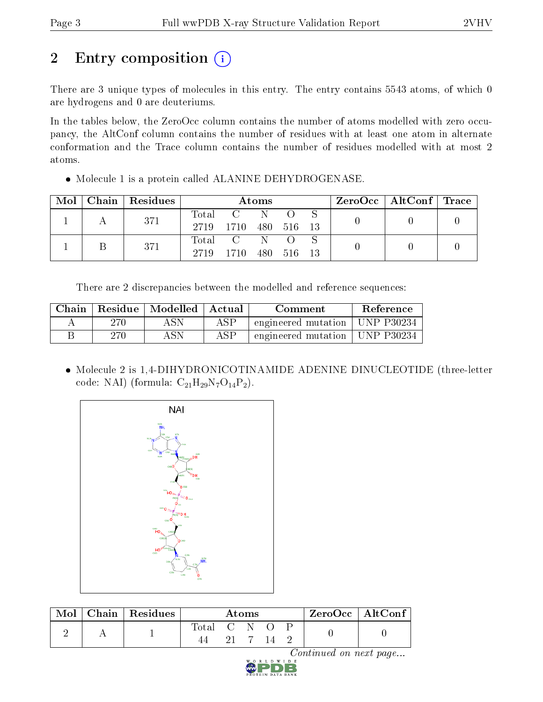# 2 Entry composition (i)

There are 3 unique types of molecules in this entry. The entry contains 5543 atoms, of which 0 are hydrogens and 0 are deuteriums.

In the tables below, the ZeroOcc column contains the number of atoms modelled with zero occupancy, the AltConf column contains the number of residues with at least one atom in alternate conformation and the Trace column contains the number of residues modelled with at most 2 atoms.

Molecule 1 is a protein called ALANINE DEHYDROGENASE.

|  | $Mol$   Chain   Residues |               |                        | Atoms |            |  | $\text{ZeroOcc}$   AltConf   Trace |  |
|--|--------------------------|---------------|------------------------|-------|------------|--|------------------------------------|--|
|  | 371                      | Total<br>2719 | C N<br>1710 480 516 13 |       |            |  |                                    |  |
|  | 371                      | 2719          | Total C N<br>1710      |       | 480 516 13 |  |                                    |  |

There are 2 discrepancies between the modelled and reference sequences:

| Chain |     | Residue   Modelled | ⊥ Actual - | Comment                          | Reference |
|-------|-----|--------------------|------------|----------------------------------|-----------|
|       | 270 | ASN                | ASP        | engineered mutation   UNP P30234 |           |
|       | 270 | ASN.               | ASP        | engineered mutation   UNP P30234 |           |

 Molecule 2 is 1,4-DIHYDRONICOTINAMIDE ADENINE DINUCLEOTIDE (three-letter code: NAI) (formula:  $C_{21}H_{29}N_7O_{14}P_2$ ).



| Mol | Chain   Residues | Atoms       |  |  |  |  | ZeroOcc   AltConf |
|-----|------------------|-------------|--|--|--|--|-------------------|
|     |                  | Total C N O |  |  |  |  |                   |

Continued on next page...

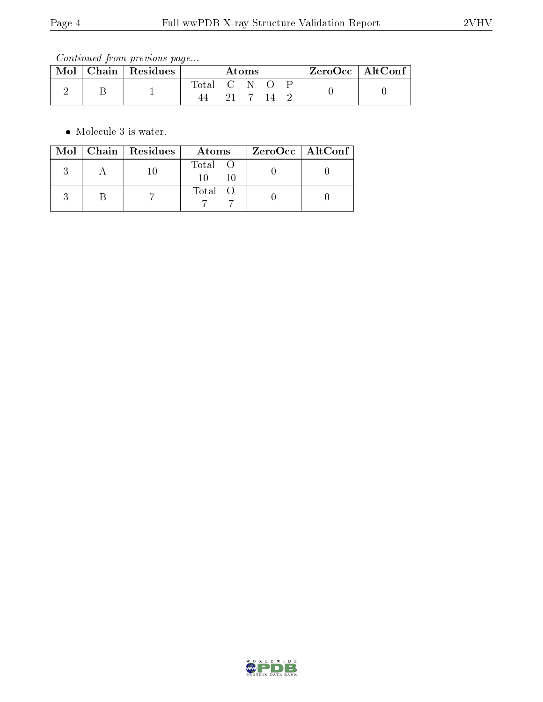Continued from previous page...

| Mol | Chain   Residues | Atoms     |  |  |  |  | $ZeroOcc \mid AltConf \mid$ |
|-----|------------------|-----------|--|--|--|--|-----------------------------|
|     |                  | fotal C N |  |  |  |  |                             |
|     |                  |           |  |  |  |  |                             |

• Molecule 3 is water.

|  | $Mol$   Chain   Residues | Atoms          | ZeroOcc   AltConf |
|--|--------------------------|----------------|-------------------|
|  |                          | Total O<br>-10 |                   |
|  |                          | Total O        |                   |

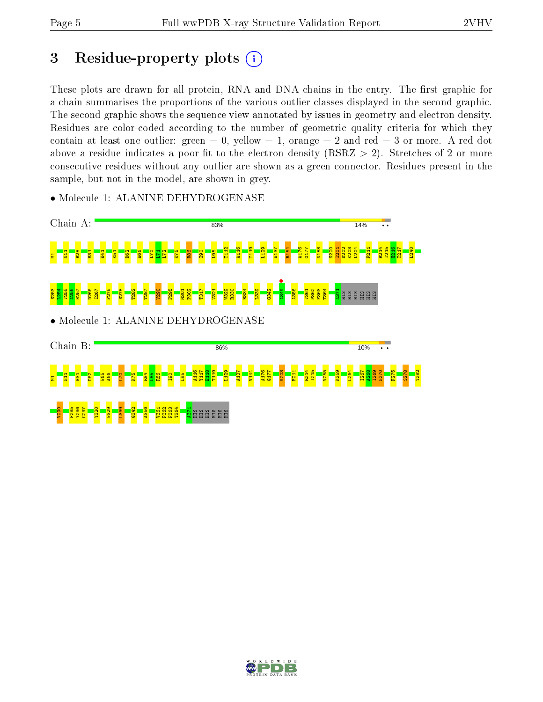## 3 Residue-property plots  $(i)$

These plots are drawn for all protein, RNA and DNA chains in the entry. The first graphic for a chain summarises the proportions of the various outlier classes displayed in the second graphic. The second graphic shows the sequence view annotated by issues in geometry and electron density. Residues are color-coded according to the number of geometric quality criteria for which they contain at least one outlier: green  $= 0$ , yellow  $= 1$ , orange  $= 2$  and red  $= 3$  or more. A red dot above a residue indicates a poor fit to the electron density (RSRZ  $> 2$ ). Stretches of 2 or more consecutive residues without any outlier are shown as a green connector. Residues present in the sample, but not in the model, are shown in grey.



• Molecule 1: ALANINE DEHYDROGENASE

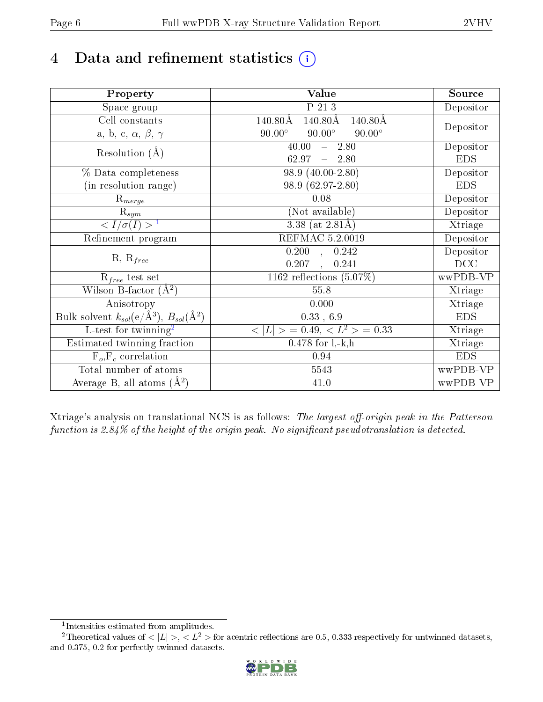# 4 Data and refinement statistics  $(i)$

| Property                                                   | Value                                           | Source     |
|------------------------------------------------------------|-------------------------------------------------|------------|
| Space group                                                | $P$ 21 3                                        | Depositor  |
| Cell constants                                             | $140.80\text{\AA}$<br>140.80Å<br>140.80Å        |            |
| a, b, c, $\alpha$ , $\beta$ , $\gamma$                     | $90.00^\circ$<br>$90.00^\circ$<br>$90.00^\circ$ | Depositor  |
| Resolution $(A)$                                           | 40.00<br>$-2.80$                                | Depositor  |
|                                                            | 62.97<br>$-2.80$                                | <b>EDS</b> |
| % Data completeness                                        | 98.9 (40.00-2.80)                               | Depositor  |
| (in resolution range)                                      | 98.9 (62.97-2.80)                               | <b>EDS</b> |
| $\mathrm{R}_{merge}$                                       | 0.08                                            | Depositor  |
| $\mathrm{R}_{sym}$                                         | (Not available)                                 | Depositor  |
| $\langle I/\sigma(I) \rangle^{-1}$                         | 3.38 (at $2.81\text{\AA}$ )                     | Xtriage    |
| Refinement program                                         | <b>REFMAC 5.2.0019</b>                          | Depositor  |
|                                                            | $\overline{0.200}$ ,<br>0.242                   | Depositor  |
| $R, R_{free}$                                              | 0.207<br>0.241<br>$\ddot{\phantom{a}}$          | DCC        |
| $R_{free}$ test set                                        | 1162 reflections $(5.07\%)$                     | wwPDB-VP   |
| Wilson B-factor $(A^2)$                                    | 55.8                                            | Xtriage    |
| Anisotropy                                                 | 0.000                                           | Xtriage    |
| Bulk solvent $k_{sol}$ (e/Å <sup>3</sup> ), $B_{sol}(A^2)$ | 0.33, 6.9                                       | <b>EDS</b> |
| $\overline{L-test for}$ twinning <sup>2</sup>              | $< L >$ = 0.49, $< L2$ = 0.33                   | Xtriage    |
| Estimated twinning fraction                                | $0.478$ for $1, -k, h$                          | Xtriage    |
| $F_o, F_c$ correlation                                     | 0.94                                            | <b>EDS</b> |
| Total number of atoms                                      | 5543                                            | wwPDB-VP   |
| Average B, all atoms $(A^2)$                               | 41.0                                            | wwPDB-VP   |

Xtriage's analysis on translational NCS is as follows: The largest off-origin peak in the Patterson function is  $2.84\%$  of the height of the origin peak. No significant pseudotranslation is detected.

<sup>&</sup>lt;sup>2</sup>Theoretical values of  $\langle |L| \rangle$ ,  $\langle L^2 \rangle$  for acentric reflections are 0.5, 0.333 respectively for untwinned datasets, and 0.375, 0.2 for perfectly twinned datasets.



<span id="page-5-1"></span><span id="page-5-0"></span><sup>1</sup> Intensities estimated from amplitudes.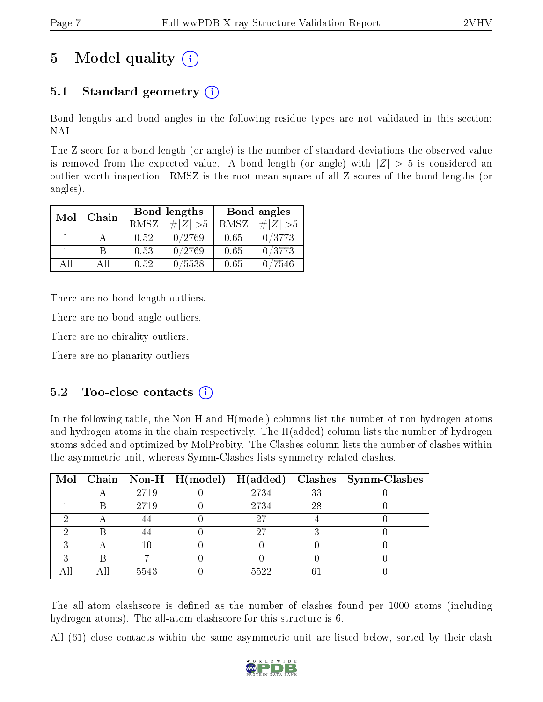# 5 Model quality  $(i)$

## 5.1 Standard geometry (i)

Bond lengths and bond angles in the following residue types are not validated in this section: NAI

The Z score for a bond length (or angle) is the number of standard deviations the observed value is removed from the expected value. A bond length (or angle) with  $|Z| > 5$  is considered an outlier worth inspection. RMSZ is the root-mean-square of all Z scores of the bond lengths (or angles).

| Mol | Chain |      | Bond lengths | Bond angles |             |  |
|-----|-------|------|--------------|-------------|-------------|--|
|     |       | RMSZ | $\# Z  > 5$  | RMSZ        | $\# Z  > 5$ |  |
|     |       | 0.52 | 0/2769       | 0.65        | 0/3773      |  |
|     | R     | 0.53 | 0/2769       | 0.65        | 0/3773      |  |
| ΔH  | A 11  | 0.52 | 0/5538       | 0.65        | 7546        |  |

There are no bond length outliers.

There are no bond angle outliers.

There are no chirality outliers.

There are no planarity outliers.

### $5.2$  Too-close contacts  $(i)$

In the following table, the Non-H and H(model) columns list the number of non-hydrogen atoms and hydrogen atoms in the chain respectively. The H(added) column lists the number of hydrogen atoms added and optimized by MolProbity. The Clashes column lists the number of clashes within the asymmetric unit, whereas Symm-Clashes lists symmetry related clashes.

|   |   |      | Mol   Chain   Non-H   H(model)   H(added) |      |    | $\text{Classes} \mid \text{Symm-Class}$ |
|---|---|------|-------------------------------------------|------|----|-----------------------------------------|
|   |   | 2719 |                                           | 2734 | 33 |                                         |
|   | В | 2719 |                                           | 2734 | 28 |                                         |
| ച |   |      |                                           | 27   |    |                                         |
|   |   |      |                                           | 27   |    |                                         |
| ົ |   | 10   |                                           |      |    |                                         |
| ົ | В |      |                                           |      |    |                                         |
|   |   | 5543 |                                           | 5522 | 61 |                                         |

The all-atom clashscore is defined as the number of clashes found per 1000 atoms (including hydrogen atoms). The all-atom clashscore for this structure is 6.

All (61) close contacts within the same asymmetric unit are listed below, sorted by their clash

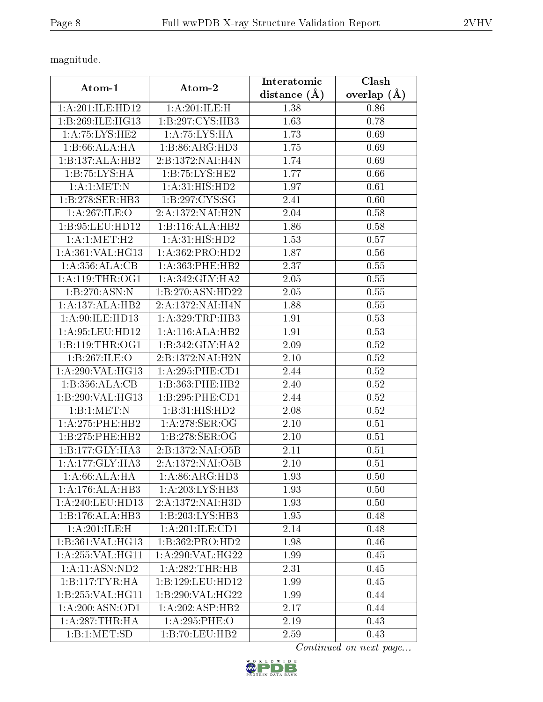magnitude.

| Atom-1                                   | Atom-2              | Interatomic    | Clash         |
|------------------------------------------|---------------------|----------------|---------------|
|                                          |                     | distance $(A)$ | overlap $(A)$ |
| 1:A:201:ILE:HD12                         | 1:A:201:ILE:H       | 1.38           | 0.86          |
| 1:B:269:ILE:HG13                         | 1:B:297:CYS:HB3     | 1.63           | 0.78          |
| 1: A:75: LYS: HE2                        | 1: A:75: LYS:H A    | 1.73           | 0.69          |
| 1:B:66:ALA:HA                            | 1:B:86:ARG:HD3      | 1.75           | 0.69          |
| 1:B:137:ALA:HB2                          | 2:B:1372:NAI:H4N    | 1.74           | 0.69          |
| 1:B:75:LYS:HA                            | 1:B:75:LYS:HE2      | 1.77           | 0.66          |
| 1: A:1: MET: N                           | 1: A:31: HIS: HD2   | 1.97           | 0.61          |
| 1:B:278:SER:HB3                          | 1:B:297:CYS:SG      | 2.41           | 0.60          |
| 1:A:267:ILE:O                            | 2:A:1372:NAI:H2N    | 2.04           | 0.58          |
| 1:B:95:LEU:HD12                          | 1:B:116:ALA:HB2     | 1.86           | 0.58          |
| 1:A:1:MET:H2                             | 1: A:31: HIS: HD2   | 1.53           | 0.57          |
| 1: A:361: VAL: HG13                      | 1:A:362:PRO:HD2     | 1.87           | $0.56\,$      |
| 1:A:356:ALA:CB                           | 1: A: 363: PHE: HB2 | 2.37           | 0.55          |
| 1: A:119:THR:OG1                         | 1: A:342: GLY:HA2   | 2.05           | 0.55          |
| 1:B:270:ASN:N                            | 1:B:270:ASN:HD22    | 2.05           | 0.55          |
| 1:A:137:ALA:HB2                          | 2:A:1372:NAI:H4N    | 1.88           | 0.55          |
| 1:A:90:ILE:HD13                          | 1: A:329:TRP:HB3    | 1.91           | 0.53          |
| 1:A:95:LEU:HD12                          | 1:A:116:ALA:HB2     | 1.91           | 0.53          |
| 1:B:119:THR:OG1                          | 1:B:342:GLY:HA2     | 2.09           | 0.52          |
| 1:B:267:ILE:O                            | 2:B:1372:NAI:H2N    | 2.10           | 0.52          |
| $1:\overline{A}:290:\overline{VAL}:HG13$ | 1:A:295:PHE:CD1     | 2.44           | 0.52          |
| 1:B:356:ALA:CB                           | 1:B:363:PHE:HB2     | 2.40           | 0.52          |
| 1:B:290:VAL:HG13                         | 1:B:295:PHE:CD1     | 2.44           | $0.52\,$      |
| 1:B:1:MET:N                              | 1:B:31:HIS:HD2      | 2.08           | 0.52          |
| 1:A:275:PHE:HB2                          | 1: A:278: SER:OG    | 2.10           | 0.51          |
| 1:B:275:PHE:HB2                          | 1:B:278:SER:OG      | 2.10           | 0.51          |
| 1: B: 177: GLY: HA3                      | 2:B:1372:NAI:O5B    | 2.11           | 0.51          |
| 1: A:177: GLY:HA3                        | 2:A:1372:NAI:O5B    | 2.10           | 0.51          |
| 1: A:66: ALA: HA                         | 1: A:86: ARG:HD3    | 1.93           | 0.50          |
| 1: A:176:ALA:HB3                         | 1:A:203:LYS:HB3     | 1.93           | 0.50          |
| 1: A:240:LEU:HD13                        | 2:A:1372:NAI:H3D    | 1.93           | 0.50          |
| $1:B:176:\overline{\text{ALA:HB3}}$      | 1:B:203:LYS:HB3     | 1.95           | 0.48          |
| 1:A:201:ILE:H                            | 1:A:201:ILE:CD1     | 2.14           | 0.48          |
| 1:B:361:VAL:HG13                         | 1:B:362:PRO:HD2     | 1.98           | 0.46          |
| 1: A:255: VAL:HGI1                       | 1:A:290:VAL:HG22    | 1.99           | 0.45          |
| 1:A:11:ASN:ND2                           | 1:A:282:THR:HB      | 2.31           | 0.45          |
| 1:B:117:TYR:HA                           | 1:B:129:LEU:HD12    | 1.99           | 0.45          |
| 1:B:255:VAL:HG11                         | 1:B:290:VAL:HG22    | 1.99           | 0.44          |
| 1: A:200: ASN:OD1                        | 1:A:202:ASP:HB2     | 2.17           | 0.44          |
| 1: A:287:THR:HA                          | 1:A:295:PHE:O       | 2.19           | 0.43          |
| 1:B:1:MET:SD                             | 1:B:70:LEU:HB2      | 2.59           | 0.43          |

Continued on next page...

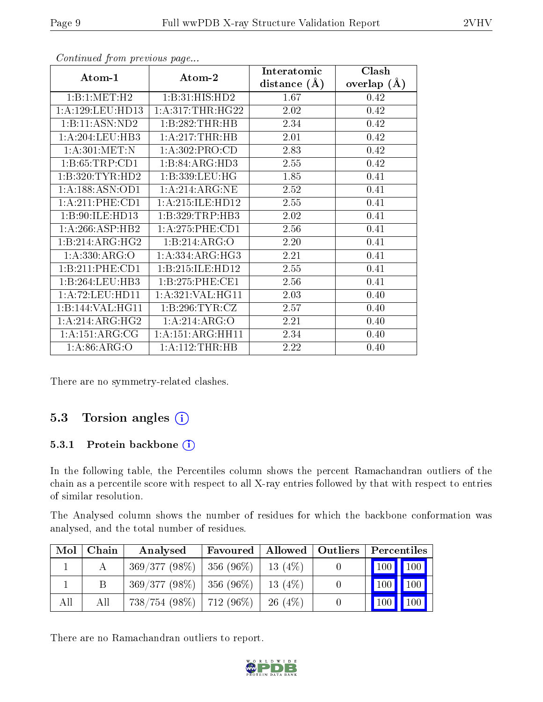|                     |                     | Interatomic    | Clash         |
|---------------------|---------------------|----------------|---------------|
| Atom-1              | Atom-2              | distance $(A)$ | overlap $(A)$ |
| 1:B:1:MET:H2        | 1:B:31:HIS:HD2      | 1.67           | 0.42          |
| 1:A:129:LEU:HD13    | 1: A:317:THR:HG22   | 2.02           | 0.42          |
| 1:B:11:ASN:ND2      | 1:B:282:THR:HB      | 2.34           | 0.42          |
| 1: A:204:LEU:HB3    | 1:A:217:THR:HB      | 2.01           | 0.42          |
| 1: A:301: MET: N    | 1: A: 302: PRO:CD   | 2.83           | 0.42          |
| 1:B:65:TRP:CD1      | 1:B:84:ARG:HD3      | 2.55           | 0.42          |
| 1:B:320:TYR:HD2     | 1:B:339:LEU:HG      | 1.85           | 0.41          |
| 1: A: 188: ASN: OD1 | 1: A:214: ARG: NE   | 2.52           | 0.41          |
| 1: A:211:PHE:CD1    | 1:A:215:ILE:HD12    | 2.55           | 0.41          |
| 1:B:90:ILE:HD13     | 1:B:329:TRP:HB3     | 2.02           | 0.41          |
| 1:A:266:ASP:HB2     | 1:A:275:PHE:CD1     | 2.56           | 0.41          |
| 1:B:214:ARG:HG2     | 1:B:214:ARG:O       | 2.20           | 0.41          |
| 1: A: 330: ARG: O   | 1: A: 334: ARG: HG3 | 2.21           | 0.41          |
| 1:B:211:PHE:CD1     | 1:B:215:ILE:HD12    | 2.55           | 0.41          |
| 1:B:264:LEU:HB3     | 1:B:275:PHE:CE1     | 2.56           | 0.41          |
| 1:A:72:LEU:HD11     | 1:A:321:VAL:HG11    | 2.03           | 0.40          |
| 1:B:144:VAL:HG11    | 1: B:296: TYR: CZ   | 2.57           | 0.40          |
| 1:A:214:ARG:HG2     | 1:A:214:ARG:O       | 2.21           | 0.40          |
| 1: A:151: ARG:CG    | 1:A:151:ARG:HH11    | 2.34           | 0.40          |
| 1: A:86: ARG:O      | 1: A:112:THR:HB     | 2.22           | 0.40          |

Continued from previous page...

There are no symmetry-related clashes.

### 5.3 Torsion angles (i)

#### 5.3.1 Protein backbone (i)

In the following table, the Percentiles column shows the percent Ramachandran outliers of the chain as a percentile score with respect to all X-ray entries followed by that with respect to entries of similar resolution.

The Analysed column shows the number of residues for which the backbone conformation was analysed, and the total number of residues.

| Mol | Chain | Analysed                        | Favoured | Allowed    | $\vert$ Outliers | Percentiles         |             |
|-----|-------|---------------------------------|----------|------------|------------------|---------------------|-------------|
|     |       | $369/377(98\%)$   356 (96\%)    |          | 13(4%)     |                  | 100 100             |             |
|     |       | $369/377(98\%)$   356 (96\%)    |          | 13 $(4%)$  |                  | $\vert$ 100 $\vert$ | $\vert$ 100 |
| All | All   | $738/754$ (98\%)   $712$ (96\%) |          | $-26(4\%)$ |                  | <b>100</b>          | 100         |

There are no Ramachandran outliers to report.

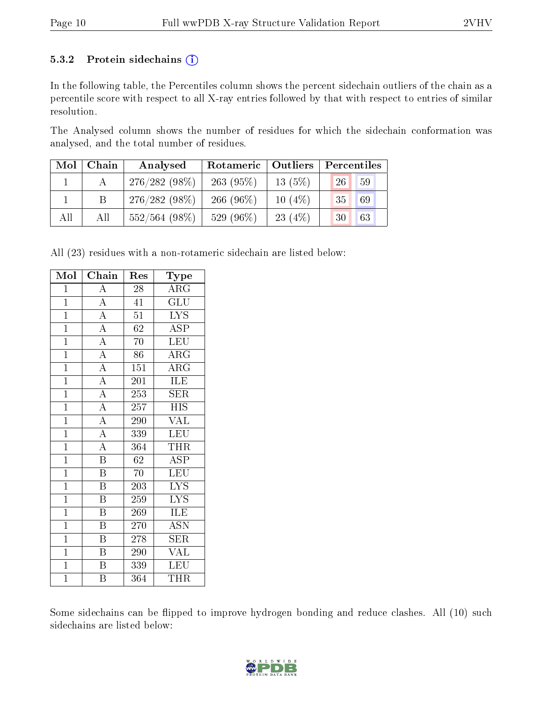#### 5.3.2 Protein sidechains  $(i)$

In the following table, the Percentiles column shows the percent sidechain outliers of the chain as a percentile score with respect to all X-ray entries followed by that with respect to entries of similar resolution.

The Analysed column shows the number of residues for which the sidechain conformation was analysed, and the total number of residues.

| Mol | Chain | Analysed         | Rotameric   Outliers |           | Percentiles           |
|-----|-------|------------------|----------------------|-----------|-----------------------|
|     |       | $276/282(98\%)$  | 263(95%)             | 13(5%)    | 59<br>26              |
|     |       | $276/282(98\%)$  | $266(96\%)$          | $10(4\%)$ | 69<br>35 <sub>1</sub> |
| All | All   | $552/564$ (98\%) | 529 (96%)            | 23 $(4%)$ | 63<br>30              |

All (23) residues with a non-rotameric sidechain are listed below:

| Mol            | Chain                               | Res              | Type                                    |
|----------------|-------------------------------------|------------------|-----------------------------------------|
| $\overline{1}$ | A                                   | 28               | $\rm{ARG}$                              |
| $\overline{1}$ | $\overline{A}$                      | $\overline{41}$  | $\overline{\text{GLU}}$                 |
| $\overline{1}$ | $\overline{A}$                      | $\overline{51}$  | $\overline{\text{LYS}}$                 |
| $\overline{1}$ | $\overline{A}$                      | 62               | ASP                                     |
| $\overline{1}$ | $\frac{\overline{A}}{\overline{A}}$ | 70               | <b>LEU</b>                              |
| $\mathbf{1}$   |                                     | 86               | $\rm{ARG}$                              |
| $\mathbf{1}$   | $\frac{\overline{A}}{\overline{A}}$ | 151              | $\overline{\rm{ARG}}$                   |
| $\mathbf{1}$   |                                     | 201              | ILE                                     |
| $\overline{1}$ | $\overline{A}$                      | $\overline{253}$ | $\overline{\text{SER}}$                 |
| $\overline{1}$ | $\overline{A}$                      | 257              | <b>HIS</b>                              |
| $\overline{1}$ | $\overline{A}$                      | 290              | $\overline{\text{VAL}}$                 |
| $\overline{1}$ | $\frac{\overline{A}}{\overline{A}}$ | 339              | LEU                                     |
| $\overline{1}$ |                                     | 364              | <b>THR</b>                              |
| $\overline{1}$ | $\overline{\mathbf{B}}$             | 62               | $\overline{\text{ASP}}$                 |
| $\mathbf{1}$   | $\overline{\mathrm{B}}$             | 70               | <b>LEU</b>                              |
| $\mathbf{1}$   | $\overline{\mathrm{B}}$             | 203              | <b>LYS</b>                              |
| $\overline{1}$ | $\overline{\mathrm{B}}$             | 259              | $\overline{\text{L} \text{Y}} \text{S}$ |
| $\overline{1}$ | $\overline{\mathrm{B}}$             | 269              | <b>ILE</b>                              |
| $\overline{1}$ | $\overline{\mathrm{B}}$             | 270              | $\overline{\mathrm{ASN}}$               |
| $\overline{1}$ | $\overline{\mathrm{B}}$             | 278              | <b>SER</b>                              |
| $\mathbf{1}$   | $\overline{\mathrm{B}}$             | 290              | <b>VAL</b>                              |
| $\overline{1}$ | $\overline{\mathrm{B}}$             | 339              | LEU                                     |
| $\overline{1}$ | $\overline{\mathrm{B}}$             | 364              | THR                                     |

Some sidechains can be flipped to improve hydrogen bonding and reduce clashes. All (10) such sidechains are listed below:

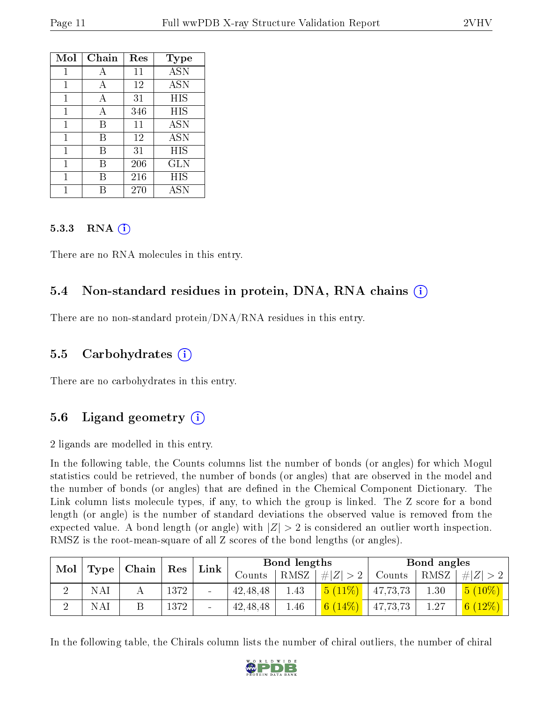| Mol | Chain | Res | Type       |
|-----|-------|-----|------------|
| 1   | А     | 11  | <b>ASN</b> |
| 1   | A     | 12  | <b>ASN</b> |
| 1   | A     | 31  | HIS        |
| 1   | А     | 346 | HIS        |
| 1   | В     | 11  | <b>ASN</b> |
| 1   | В     | 12  | <b>ASN</b> |
| 1   | В     | 31  | HIS        |
| 1   | В     | 206 | GLN        |
| 1   | R     | 216 | HIS        |
|     |       | 270 | ASN        |

#### 5.3.3 RNA (1)

There are no RNA molecules in this entry.

### 5.4 Non-standard residues in protein, DNA, RNA chains (i)

There are no non-standard protein/DNA/RNA residues in this entry.

#### 5.5 Carbohydrates  $(i)$

There are no carbohydrates in this entry.

### 5.6 Ligand geometry (i)

2 ligands are modelled in this entry.

In the following table, the Counts columns list the number of bonds (or angles) for which Mogul statistics could be retrieved, the number of bonds (or angles) that are observed in the model and the number of bonds (or angles) that are defined in the Chemical Component Dictionary. The Link column lists molecule types, if any, to which the group is linked. The Z score for a bond length (or angle) is the number of standard deviations the observed value is removed from the expected value. A bond length (or angle) with  $|Z| > 2$  is considered an outlier worth inspection. RMSZ is the root-mean-square of all Z scores of the bond lengths (or angles).

| Mol |             | Chain | Res  | Link   |            | Bond lengths |                |          | Bond angles       |            |
|-----|-------------|-------|------|--------|------------|--------------|----------------|----------|-------------------|------------|
|     | <b>Type</b> |       |      |        | Counts     | RMSZ         | # $ Z  > 2$    | Counts   | RMSZ              | # Z        |
|     | NA          |       | 1372 | -      | 42, 48, 48 | 1.43         | 5 <sup>1</sup> | 47,73,73 | 1.30 <sub>1</sub> | $5(10\%)$  |
|     | NA          |       | 1372 | $\sim$ | 42, 48, 48 | 1.46         | $14\%$<br>6/   | 47,73,73 | 1.27              | 6 $(12\%)$ |

In the following table, the Chirals column lists the number of chiral outliers, the number of chiral

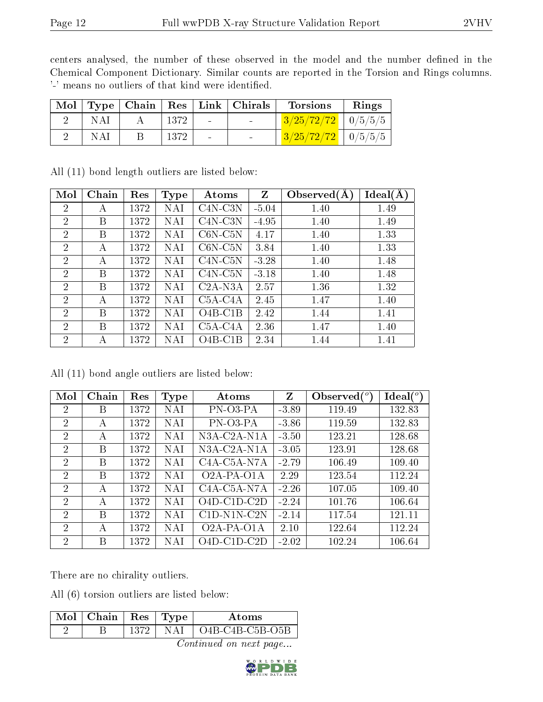centers analysed, the number of these observed in the model and the number defined in the Chemical Component Dictionary. Similar counts are reported in the Torsion and Rings columns. '-' means no outliers of that kind were identified.

|            |      |                                   | Mol   Type   Chain   Res   Link   Chirals | <b>Torsions</b>               | Rings |
|------------|------|-----------------------------------|-------------------------------------------|-------------------------------|-------|
| <b>NAI</b> | 1372 | <b>Contract Contract Contract</b> |                                           | $\frac{3/25/72/72}{10/5/5/5}$ |       |
| <b>NAI</b> | 1372 | $\sim$                            | <b>Contract Contract Contract</b>         | $3/25/72/72$   0/5/5/5        |       |

| Mol            | Chain | Res  | <b>Type</b> | Atoms                             | Z       | Observed $(A)$ | Ideal(A) |
|----------------|-------|------|-------------|-----------------------------------|---------|----------------|----------|
| $\overline{2}$ | А     | 1372 | NAI         | $C4N-C3N$                         | $-5.04$ | 1.40           | 1.49     |
| $\overline{2}$ | В     | 1372 | NAI         | $C4N-C3N$                         | $-4.95$ | 1.40           | 1.49     |
| $\overline{2}$ | В     | 1372 | NAI         | $C6N-C5N$                         | 4.17    | 1.40           | 1.33     |
| $\overline{2}$ | А     | 1372 | NAI         | $C6N-C5N$                         | 3.84    | 1.40           | 1.33     |
| $\overline{2}$ | А     | 1372 | NAI         | $C4N-C5N$                         | $-3.28$ | 1.40           | 1.48     |
| $\overline{2}$ | В     | 1372 | NAI         | $C4N-C5N$                         | $-3.18$ | 1.40           | 1.48     |
| $\overline{2}$ | В     | 1372 | NAI         | $C2A-N3A$                         | 2.57    | 1.36           | 1.32     |
| $\overline{2}$ | А     | 1372 | NAI         | C <sub>5</sub> A-C <sub>4</sub> A | 2.45    | 1.47           | 1.40     |
| $\overline{2}$ | В     | 1372 | NAI         | $O4B$ -C1B                        | 2.42    | 1.44           | 1.41     |
| $\overline{2}$ | В     | 1372 | NAI         | $C5A-C4A$                         | 2.36    | 1.47           | 1.40     |
| $\overline{2}$ | А     | 1372 | NAI         | $O4B-C1B$                         | 2.34    | 1.44           | 1.41     |

All (11) bond length outliers are listed below:

All (11) bond angle outliers are listed below:

| Mol            | Chain | Res  | Type       | Atoms                                              | Z       | Observed $(°)$ | Ideal(°) |
|----------------|-------|------|------------|----------------------------------------------------|---------|----------------|----------|
| $\overline{2}$ | В     | 1372 | <b>NAI</b> | PN-03-PA                                           | $-3.89$ | 119.49         | 132.83   |
| 2              | А     | 1372 | <b>NAI</b> | PN-03-PA                                           | $-3.86$ | 119.59         | 132.83   |
| $\overline{2}$ | А     | 1372 | NAI        | N3A-C2A-N1A                                        | $-3.50$ | 123.21         | 128.68   |
| $\overline{2}$ | В     | 1372 | NAI        | N3A-C2A-N1A                                        | $-3.05$ | 123.91         | 128.68   |
| $\overline{2}$ | В     | 1372 | NAI        | C <sub>4</sub> A-C <sub>5</sub> A-N <sub>7</sub> A | $-2.79$ | 106.49         | 109.40   |
| $\overline{2}$ | В     | 1372 | NAI        | $\overline{O}2A-PA-O1A$                            | 2.29    | 123.54         | 112.24   |
| $\overline{2}$ | А     | 1372 | <b>NAI</b> | C <sub>4</sub> A-C <sub>5</sub> A-N <sub>7</sub> A | $-2.26$ | 107.05         | 109.40   |
| $\overline{2}$ | А     | 1372 | NAI        | $O4D$ -C1D-C2D                                     | $-2.24$ | 101.76         | 106.64   |
| $\overline{2}$ | В     | 1372 | NAI        | $C1D-N1N-C2N$                                      | $-2.14$ | 117.54         | 121.11   |
| $\overline{2}$ | А     | 1372 | NAI        | O <sub>2</sub> A-PA-O <sub>1</sub> A               | 2.10    | 122.64         | 112.24   |
| $\overline{2}$ | В     | 1372 | NAI        | $O4D$ -C1D-C2D                                     | $-2.02$ | 102.24         | 106.64   |

There are no chirality outliers.

All (6) torsion outliers are listed below:

| $\mid$ Mol $\mid$ Chain | $\perp$ Res   Type | Atoms                   |
|-------------------------|--------------------|-------------------------|
|                         | 1372   NAI         | $\vert$ O4B-C4B-C5B-O5B |

Continued on next page...

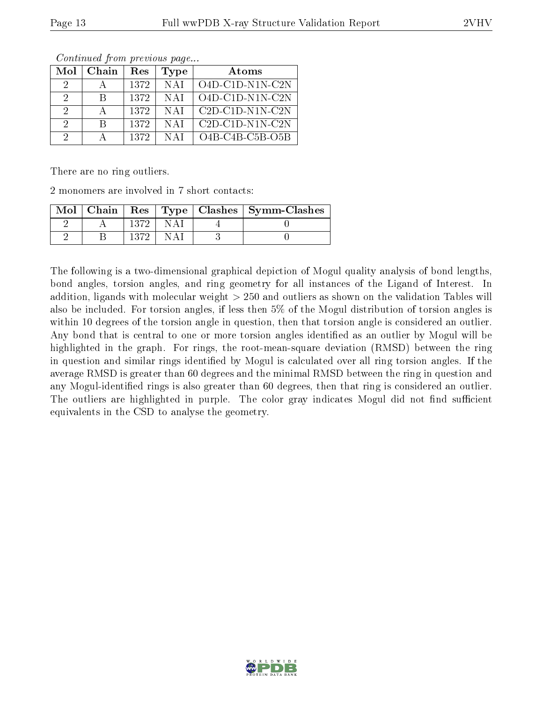| Mol           | Chain | Res  | Type       | Atoms              |
|---------------|-------|------|------------|--------------------|
| 2             |       | 1372 | <b>NAI</b> | $O4D-ClD-N1N- C2N$ |
| 2             | R.    | 1372 | -N A I     | $O4D-ClD-N1N-ClN$  |
| 2             |       | 1372 | N A I      | $C2D-C1D-N1N-C2N$  |
| $\mathcal{D}$ | R     | 1372 | -N A I     | $C2D-C1D-N1N-C2N$  |
| 9             |       | 1372 | <b>NAI</b> | $O4B-C4B-C5B-O5B$  |

Continued from previous page...

There are no ring outliers.

2 monomers are involved in 7 short contacts:

| Mol |  |  | Chain   $\text{Res}$   $\text{Type}$   Clashes   Symm-Clashes |
|-----|--|--|---------------------------------------------------------------|
|     |  |  |                                                               |
|     |  |  |                                                               |

The following is a two-dimensional graphical depiction of Mogul quality analysis of bond lengths, bond angles, torsion angles, and ring geometry for all instances of the Ligand of Interest. In addition, ligands with molecular weight > 250 and outliers as shown on the validation Tables will also be included. For torsion angles, if less then 5% of the Mogul distribution of torsion angles is within 10 degrees of the torsion angle in question, then that torsion angle is considered an outlier. Any bond that is central to one or more torsion angles identified as an outlier by Mogul will be highlighted in the graph. For rings, the root-mean-square deviation (RMSD) between the ring in question and similar rings identified by Mogul is calculated over all ring torsion angles. If the average RMSD is greater than 60 degrees and the minimal RMSD between the ring in question and any Mogul-identified rings is also greater than 60 degrees, then that ring is considered an outlier. The outliers are highlighted in purple. The color gray indicates Mogul did not find sufficient equivalents in the CSD to analyse the geometry.

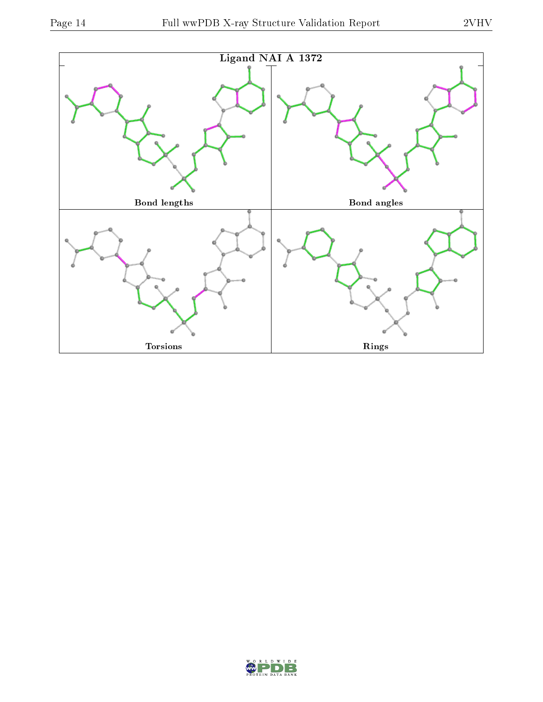

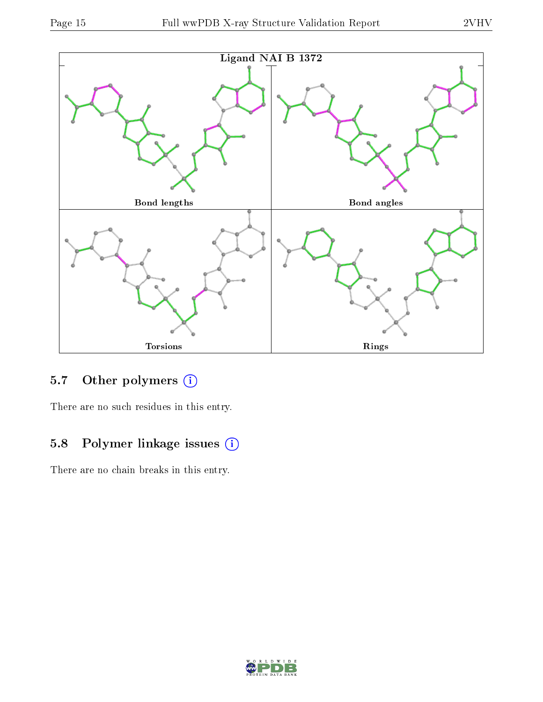

## 5.7 [O](https://www.wwpdb.org/validation/2017/XrayValidationReportHelp#nonstandard_residues_and_ligands)ther polymers (i)

There are no such residues in this entry.

## 5.8 Polymer linkage issues (i)

There are no chain breaks in this entry.

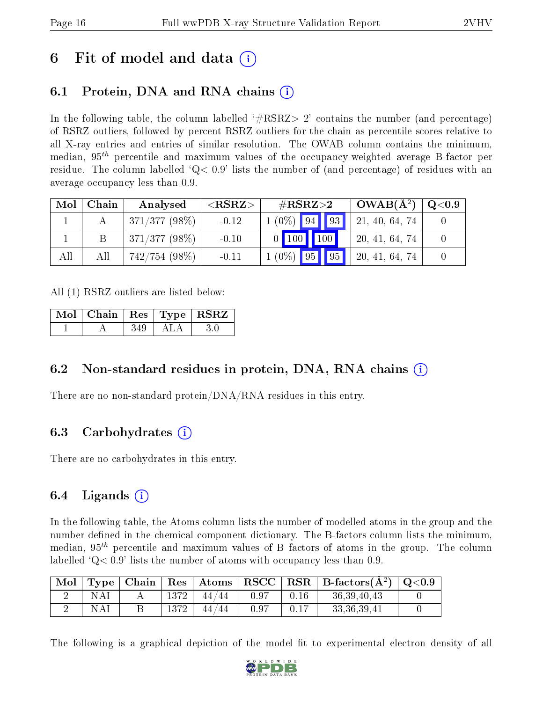## 6 Fit of model and data  $\left( \cdot \right)$

## 6.1 Protein, DNA and RNA chains (i)

In the following table, the column labelled  $#RSRZ>2'$  contains the number (and percentage) of RSRZ outliers, followed by percent RSRZ outliers for the chain as percentile scores relative to all X-ray entries and entries of similar resolution. The OWAB column contains the minimum, median,  $95<sup>th</sup>$  percentile and maximum values of the occupancy-weighted average B-factor per residue. The column labelled  $Q < 0.9$  lists the number of (and percentage) of residues with an average occupancy less than 0.9.

| Mol | Chain | Analysed        | ${ <\hspace{-1.5pt}{\mathrm{RSRZ}} \hspace{-1.5pt}>}$ | $\#\text{RSRZ}{>}2$ | $OWAB(A^2)$    | $\rm Q\textcolor{black}{<}0.9$ |
|-----|-------|-----------------|-------------------------------------------------------|---------------------|----------------|--------------------------------|
|     |       | $371/377(98\%)$ | $-0.12$                                               | $1(0\%)$ 94 93      | 21, 40, 64, 74 |                                |
|     |       | $371/377(98\%)$ | $-0.10$                                               | $0$ 100 100         | 20, 41, 64, 74 |                                |
| All | All   | $742/754(98\%)$ | $-0.11$                                               | $1(0\%)$ 95 95      | 20, 41, 64, 74 |                                |

All (1) RSRZ outliers are listed below:

|  |      |       | Mol   Chain   Res   Type   RSRZ |
|--|------|-------|---------------------------------|
|  | -349 | – ALA | -30                             |

### 6.2 Non-standard residues in protein, DNA, RNA chains (i)

There are no non-standard protein/DNA/RNA residues in this entry.

### 6.3 Carbohydrates (i)

There are no carbohydrates in this entry.

### 6.4 Ligands  $(i)$

In the following table, the Atoms column lists the number of modelled atoms in the group and the number defined in the chemical component dictionary. The B-factors column lists the minimum, median,  $95<sup>th</sup>$  percentile and maximum values of B factors of atoms in the group. The column labelled  $Q< 0.9$ ' lists the number of atoms with occupancy less than 0.9.

| $\operatorname{Mol}$ |     |      |       |      |      | $\mid$ Type   Chain   Res   Atoms   RSCC   RSR   B-factors $(A^2)$   Q<0.9 |  |
|----------------------|-----|------|-------|------|------|----------------------------------------------------------------------------|--|
|                      | NAl | 1372 | 44/44 | 0.97 | 0.16 | 36, 39, 40, 43                                                             |  |
|                      | NAl | 1372 | 44/44 | 0.97 | 0.17 | 33, 36, 39, 41                                                             |  |

The following is a graphical depiction of the model fit to experimental electron density of all

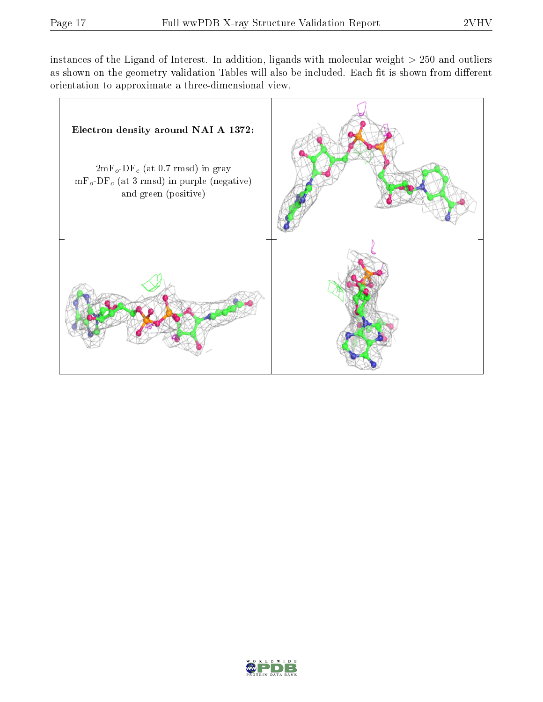instances of the Ligand of Interest. In addition, ligands with molecular weight  $> 250$  and outliers as shown on the geometry validation Tables will also be included. Each fit is shown from different orientation to approximate a three-dimensional view.